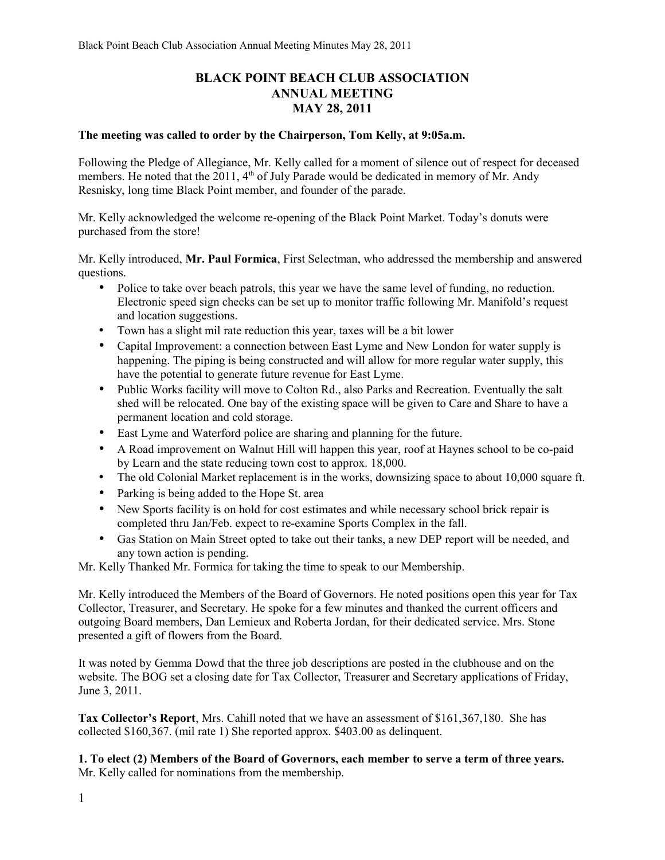# **BLACK POINT BEACH CLUB ASSOCIATION ANNUAL MEETING MAY 28, 2011**

#### **The meeting was called to order by the Chairperson, Tom Kelly, at 9:05a.m.**

Following the Pledge of Allegiance, Mr. Kelly called for a moment of silence out of respect for deceased members. He noted that the 2011,  $4<sup>th</sup>$  of July Parade would be dedicated in memory of Mr. Andy Resnisky, long time Black Point member, and founder of the parade.

Mr. Kelly acknowledged the welcome re-opening of the Black Point Market. Today's donuts were purchased from the store!

Mr. Kelly introduced, **Mr. Paul Formica**, First Selectman, who addressed the membership and answered questions.

- Police to take over beach patrols, this year we have the same level of funding, no reduction. Electronic speed sign checks can be set up to monitor traffic following Mr. Manifold's request and location suggestions.
- Town has a slight mil rate reduction this year, taxes will be a bit lower
- Capital Improvement: a connection between East Lyme and New London for water supply is happening. The piping is being constructed and will allow for more regular water supply, this have the potential to generate future revenue for East Lyme.
- Public Works facility will move to Colton Rd., also Parks and Recreation. Eventually the salt shed will be relocated. One bay of the existing space will be given to Care and Share to have a permanent location and cold storage.
- East Lyme and Waterford police are sharing and planning for the future.
- A Road improvement on Walnut Hill will happen this year, roof at Haynes school to be co-paid by Learn and the state reducing town cost to approx. 18,000.
- The old Colonial Market replacement is in the works, downsizing space to about 10,000 square ft.
- Parking is being added to the Hope St. area
- New Sports facility is on hold for cost estimates and while necessary school brick repair is completed thru Jan/Feb. expect to re-examine Sports Complex in the fall.
- Gas Station on Main Street opted to take out their tanks, a new DEP report will be needed, and any town action is pending.

Mr. Kelly Thanked Mr. Formica for taking the time to speak to our Membership.

Mr. Kelly introduced the Members of the Board of Governors. He noted positions open this year for Tax Collector, Treasurer, and Secretary. He spoke for a few minutes and thanked the current officers and outgoing Board members, Dan Lemieux and Roberta Jordan, for their dedicated service. Mrs. Stone presented a gift of flowers from the Board.

It was noted by Gemma Dowd that the three job descriptions are posted in the clubhouse and on the website. The BOG set a closing date for Tax Collector, Treasurer and Secretary applications of Friday, June 3, 2011.

**Tax Collector's Report**, Mrs. Cahill noted that we have an assessment of \$161,367,180. She has collected \$160,367. (mil rate 1) She reported approx. \$403.00 as delinquent.

**1. To elect (2) Members of the Board of Governors, each member to serve a term of three years.** Mr. Kelly called for nominations from the membership.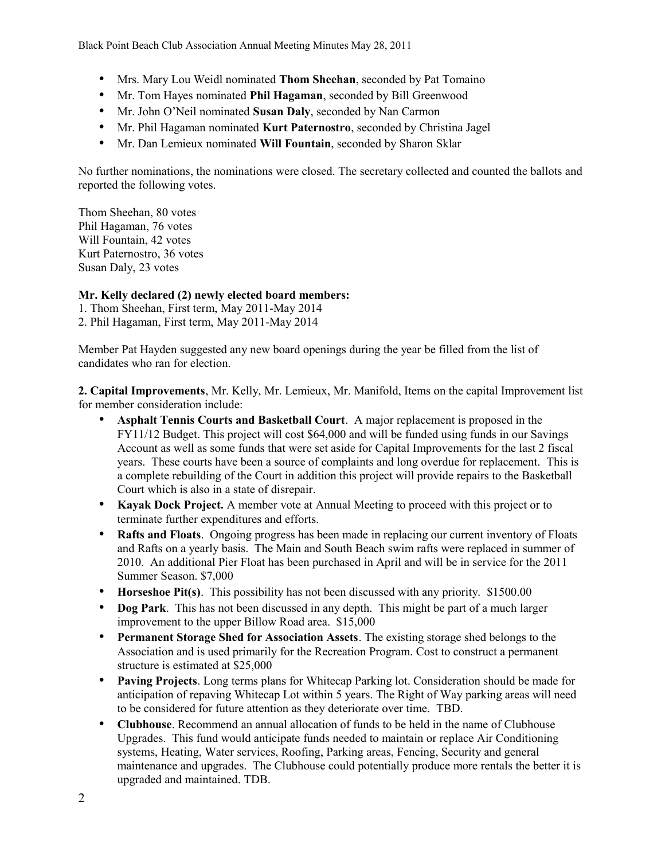Black Point Beach Club Association Annual Meeting Minutes May 28, 2011

- Mrs. Mary Lou Weidl nominated **Thom Sheehan**, seconded by Pat Tomaino
- Mr. Tom Hayes nominated **Phil Hagaman**, seconded by Bill Greenwood
- Mr. John O'Neil nominated **Susan Daly**, seconded by Nan Carmon
- Mr. Phil Hagaman nominated **Kurt Paternostro**, seconded by Christina Jagel
- Mr. Dan Lemieux nominated **Will Fountain**, seconded by Sharon Sklar

No further nominations, the nominations were closed. The secretary collected and counted the ballots and reported the following votes.

Thom Sheehan, 80 votes Phil Hagaman, 76 votes Will Fountain, 42 votes Kurt Paternostro, 36 votes Susan Daly, 23 votes

## **Mr. Kelly declared (2) newly elected board members:**

1. Thom Sheehan, First term, May 2011-May 2014

2. Phil Hagaman, First term, May 2011-May 2014

Member Pat Hayden suggested any new board openings during the year be filled from the list of candidates who ran for election.

**2. Capital Improvements**, Mr. Kelly, Mr. Lemieux, Mr. Manifold, Items on the capital Improvement list for member consideration include:

- **Asphalt Tennis Courts and Basketball Court**. A major replacement is proposed in the FY11/12 Budget. This project will cost \$64,000 and will be funded using funds in our Savings Account as well as some funds that were set aside for Capital Improvements for the last 2 fiscal years. These courts have been a source of complaints and long overdue for replacement. This is a complete rebuilding of the Court in addition this project will provide repairs to the Basketball Court which is also in a state of disrepair.
- **Kayak Dock Project.** A member vote at Annual Meeting to proceed with this project or to terminate further expenditures and efforts.
- **Rafts and Floats**. Ongoing progress has been made in replacing our current inventory of Floats and Rafts on a yearly basis. The Main and South Beach swim rafts were replaced in summer of 2010. An additional Pier Float has been purchased in April and will be in service for the 2011 Summer Season. \$7,000
- **Horseshoe Pit(s)**. This possibility has not been discussed with any priority. \$1500.00
- **Dog Park**. This has not been discussed in any depth. This might be part of a much larger improvement to the upper Billow Road area. \$15,000
- **Permanent Storage Shed for Association Assets**. The existing storage shed belongs to the Association and is used primarily for the Recreation Program. Cost to construct a permanent structure is estimated at \$25,000
- **Paving Projects**. Long terms plans for Whitecap Parking lot. Consideration should be made for anticipation of repaving Whitecap Lot within 5 years. The Right of Way parking areas will need to be considered for future attention as they deteriorate over time. TBD.
- **Clubhouse**. Recommend an annual allocation of funds to be held in the name of Clubhouse Upgrades. This fund would anticipate funds needed to maintain or replace Air Conditioning systems, Heating, Water services, Roofing, Parking areas, Fencing, Security and general maintenance and upgrades. The Clubhouse could potentially produce more rentals the better it is upgraded and maintained. TDB.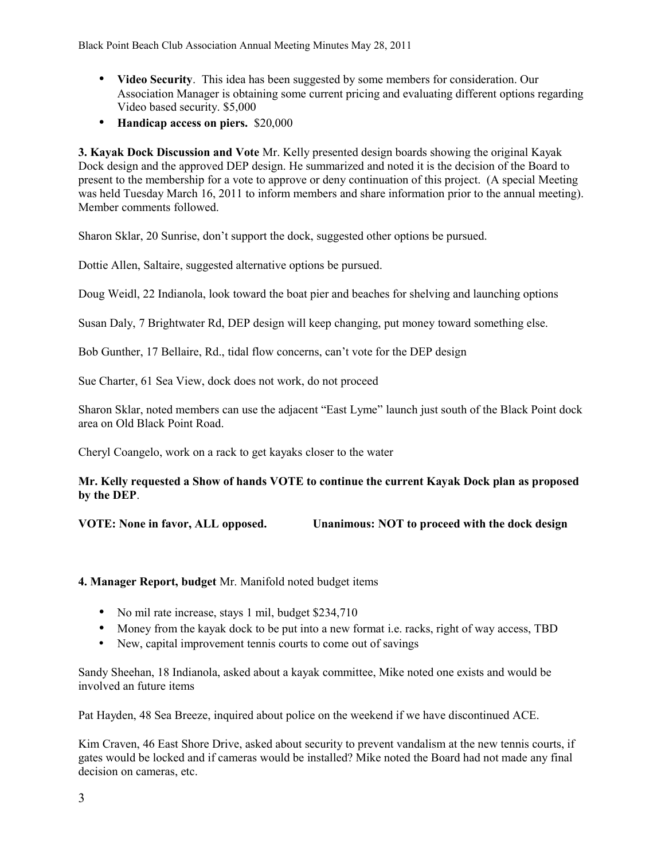- **Video Security**. This idea has been suggested by some members for consideration. Our Association Manager is obtaining some current pricing and evaluating different options regarding Video based security. \$5,000
- **Handicap access on piers.** \$20,000

**3. Kayak Dock Discussion and Vote** Mr. Kelly presented design boards showing the original Kayak Dock design and the approved DEP design. He summarized and noted it is the decision of the Board to present to the membership for a vote to approve or deny continuation of this project. (A special Meeting was held Tuesday March 16, 2011 to inform members and share information prior to the annual meeting). Member comments followed.

Sharon Sklar, 20 Sunrise, don't support the dock, suggested other options be pursued.

Dottie Allen, Saltaire, suggested alternative options be pursued.

Doug Weidl, 22 Indianola, look toward the boat pier and beaches for shelving and launching options

Susan Daly, 7 Brightwater Rd, DEP design will keep changing, put money toward something else.

Bob Gunther, 17 Bellaire, Rd., tidal flow concerns, can't vote for the DEP design

Sue Charter, 61 Sea View, dock does not work, do not proceed

Sharon Sklar, noted members can use the adjacent "East Lyme" launch just south of the Black Point dock area on Old Black Point Road.

Cheryl Coangelo, work on a rack to get kayaks closer to the water

## **Mr. Kelly requested a Show of hands VOTE to continue the current Kayak Dock plan as proposed by the DEP**.

**VOTE: None in favor, ALL opposed. Unanimous: NOT to proceed with the dock design**

## **4. Manager Report, budget** Mr. Manifold noted budget items

- No mil rate increase, stays 1 mil, budget \$234,710
- Money from the kayak dock to be put into a new format i.e. racks, right of way access, TBD
- New, capital improvement tennis courts to come out of savings

Sandy Sheehan, 18 Indianola, asked about a kayak committee, Mike noted one exists and would be involved an future items

Pat Hayden, 48 Sea Breeze, inquired about police on the weekend if we have discontinued ACE.

Kim Craven, 46 East Shore Drive, asked about security to prevent vandalism at the new tennis courts, if gates would be locked and if cameras would be installed? Mike noted the Board had not made any final decision on cameras, etc.